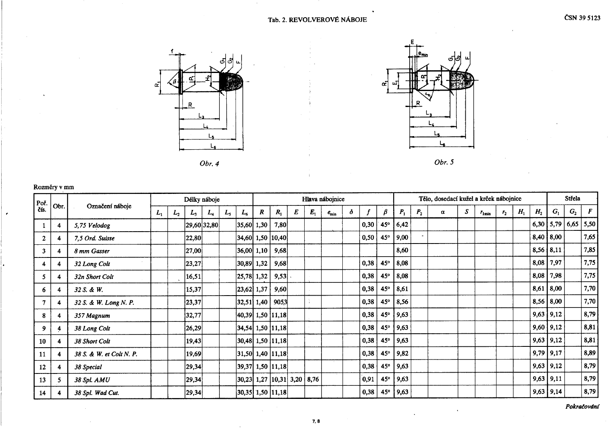

Obr. 4



Obr.  $5$ 

## Rozměry v mm

| Poř.<br>čís. | Obr.                    | Označení náboje          |       |         |       | Délky náboje |       |                                | Hlava nábojnice  |                                      |   |         |            |          |      |            |                     | Tělo, dosedací kužel a krček nábojnice |                  |   |                   |                |       |                |                       |                | Střela |  |  |
|--------------|-------------------------|--------------------------|-------|---------|-------|--------------|-------|--------------------------------|------------------|--------------------------------------|---|---------|------------|----------|------|------------|---------------------|----------------------------------------|------------------|---|-------------------|----------------|-------|----------------|-----------------------|----------------|--------|--|--|
|              |                         |                          | $L_1$ | $L_{2}$ | $L_3$ | $L_4$        | $L_5$ | $L_6$                          | $\boldsymbol{R}$ | $R_{1}$                              | E | $E_{1}$ | $e_{\min}$ | $\delta$ |      | β          | $P_1$               | P <sub>2</sub>                         | $\boldsymbol{a}$ | S | $r_{1\text{min}}$ | r <sub>2</sub> | $H_1$ | H <sub>2</sub> | G <sub>1</sub>        | G <sub>2</sub> | F      |  |  |
|              | $\overline{4}$          | 5,75 Velodog             |       |         |       | 29,60 32,80  |       | $ 35,60 $ 1,30                 |                  | 7,80                                 |   |         |            |          | 0,30 | 45°        | 6,42                |                                        |                  |   |                   |                |       |                | $6,30$ 5,79 6,65 5,50 |                |        |  |  |
| $\mathbf{2}$ | 4                       | 7,5 Ord. Suisse          |       |         | 22,80 |              |       |                                |                  | 34,60  1,50   10,40                  |   |         |            |          | 0,50 | 45°        | $ 9,00\rangle$      |                                        |                  |   |                   |                |       |                | $8,40$   $8,00$       |                | 7,65   |  |  |
| 3            | $\overline{4}$          | 8 mm Gasser              |       |         | 27,00 |              |       | 36,00 1,10                     |                  | 9,68                                 |   |         |            |          |      |            | 8,60                |                                        |                  |   |                   |                |       |                | $8,56$   8,11         |                | 7,85   |  |  |
|              | -4                      | 32 Long Colt             |       |         | 23,27 |              |       | 30,89  1,32                    |                  | 9,68                                 |   |         |            |          | 0,38 | 45°        | 8,08                |                                        |                  |   |                   |                |       |                | $8,08$   7,97         |                | 7,75   |  |  |
| 5.           | -4                      | 32n Short Colt           |       |         | 16,51 |              |       | 25,78 1,32                     |                  | $9,53$ .                             |   |         |            |          | 0,38 | 45°        | 8,08                |                                        |                  |   |                   |                |       | 8,08           | 7,98                  |                | 7,75   |  |  |
| 6            | 4                       | 32 S. & W.               |       |         | 15,37 |              |       | $\vert 23,62 \vert 1,37 \vert$ |                  | 9,60                                 |   |         |            |          | 0,38 | $45^\circ$ | 8,61                |                                        |                  |   |                   |                |       |                | $8,61$   $8,00$       |                | 7,70   |  |  |
|              | -4                      | 32 S. & W. Long N. P.    |       |         | 23,37 |              |       |                                |                  | $ 32,51 $ 1,40   9053                |   |         |            |          | 0,38 | $45^\circ$ | 8,56                |                                        |                  |   |                   |                |       |                | $8,56$   8,00         |                | 7,70   |  |  |
| 8            | 4                       | 357 Magnum               |       |         | 32,77 |              |       |                                |                  | $ 40,39 $ 1,50 $ 11,18 $             |   |         |            |          | 0,38 | $45^\circ$ | 9,63                |                                        |                  |   |                   |                |       |                | $9,63$   $9,12$       |                | 8,79   |  |  |
| 9            | 4                       | 38 Long Colt             |       |         | 26,29 |              |       |                                |                  | $ 34,54 $ 1,50   11,18               |   |         |            |          | 0,38 | 45°        | 9,63                |                                        |                  |   |                   |                |       |                | $9,60$   $9,12$       |                | 8,81   |  |  |
| 10           | 4                       | 38 Short Colt            |       |         | 19,43 |              |       |                                |                  | $ 30,48 $ 1,50 $ 11,18 $             |   |         |            |          | 0,38 | $45^\circ$ | 9,63                |                                        |                  |   |                   |                |       |                | $9,63$   $9,12$       |                | 8,81   |  |  |
| 11           | $\overline{\mathbf{4}}$ | 38 S. & W. et Colt N. P. |       |         | 19,69 |              |       |                                |                  | $ 31,50 $ 1,40 $ 11,18 $             |   |         |            |          | 0,38 | $45^\circ$ | 9,82                |                                        |                  |   |                   |                |       |                | $9,79$   $9,17$       |                | 8,89   |  |  |
| 12           | 4                       | 38 Special               |       |         | 29,34 |              |       |                                |                  | $ 39,37 $ 1,50 $ 11,18 $             |   |         |            |          | 0,38 | $45^\circ$ | 9,63                |                                        |                  |   |                   |                |       |                | $9,63$   $9,12$       |                | 8,79   |  |  |
| 13           | -5                      | 38 Spl. AMU              |       |         | 29,34 |              |       |                                |                  | $ 30,23 $ 1,27 $ 10,31 $ 3,20   8,76 |   |         |            |          | 0,91 | $45^\circ$ | 9,63                |                                        |                  |   |                   |                |       |                | $9,63$   $9,11$       |                | 8,79   |  |  |
| 14           | -4                      | 38 Spl. Wad Cut.         |       |         | 29,34 |              |       |                                |                  | $ 30,35 $ 1,50 $ 11,18 $             |   |         |            |          | 0,38 |            | $45^{\circ}$   9,63 |                                        |                  |   |                   |                |       |                | $9,63$   9,14         |                | 8,79   |  |  |

Pokračování